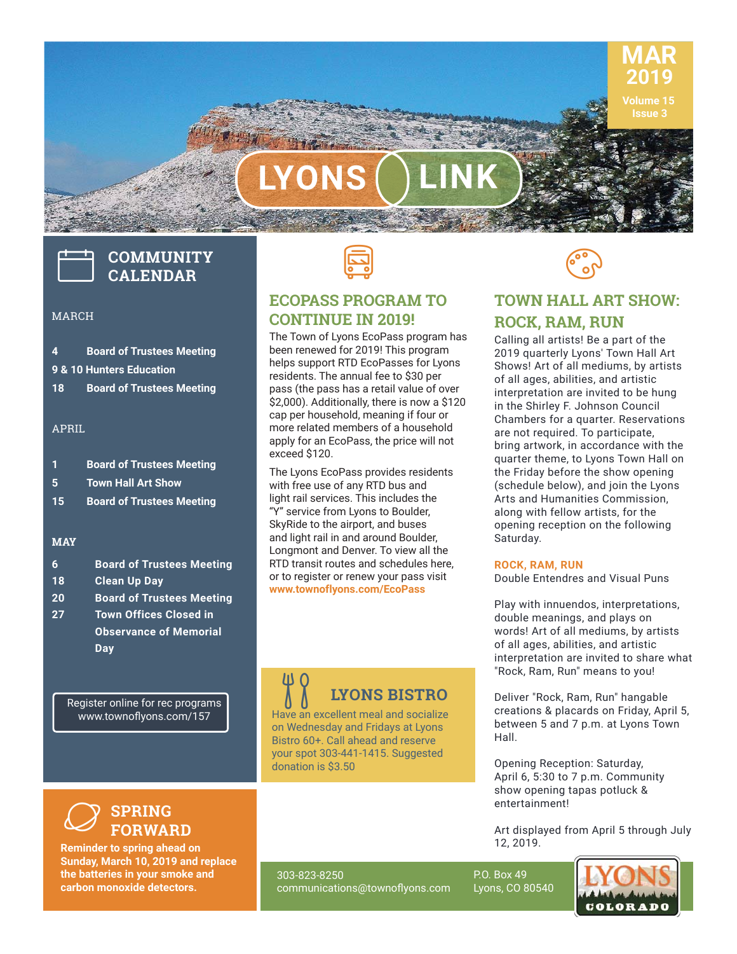

**LYONS LINK**

# **COMMUNITY CALENDAR**

#### MARCH

- **4 Board of Trustees Meeting 9 & 10 Hunters Education**
- **18 Board of Trustees Meeting**

#### APRIL

| -1 | <b>Board of Trustees Meeting</b> |
|----|----------------------------------|
| -5 | <b>Town Hall Art Show</b>        |
| 15 | <b>Board of Trustees Meeting</b> |
|    |                                  |

#### **MAY**

| -6        | <b>Board of Trustees Meeting</b> |
|-----------|----------------------------------|
| 18        | <b>Clean Up Day</b>              |
| <b>20</b> | <b>Board of Trustees Meeting</b> |

**27 Town Offices Closed in Observance of Memorial Day**

Register online for rec programs www.townoflyons.com/157



#### **ECOPASS PROGRAM TO CONTINUE IN 2019!**

The Town of Lyons EcoPass program has been renewed for 2019! This program helps support RTD EcoPasses for Lyons residents. The annual fee to \$30 per pass (the pass has a retail value of over \$2,000). Additionally, there is now a \$120 cap per household, meaning if four or more related members of a household apply for an EcoPass, the price will not exceed \$120.

The Lyons EcoPass provides residents with free use of any RTD bus and light rail services. This includes the "Y" service from Lyons to Boulder, SkyRide to the airport, and buses and light rail in and around Boulder, Longmont and Denver. To view all the RTD transit routes and schedules here, or to register or renew your pass visit **www.townoflyons.com/EcoPass**

## **LYONS BISTRO**

Have an excellent meal and socialize on Wednesday and Fridays at Lyons Bistro 60+. Call ahead and reserve your spot 303-441-1415. Suggested donation is \$3.50



#### **TOWN HALL ART SHOW: ROCK, RAM, RUN**

Calling all artists! Be a part of the 2019 quarterly Lyons' Town Hall Art Shows! Art of all mediums, by artists of all ages, abilities, and artistic interpretation are invited to be hung in the Shirley F. Johnson Council Chambers for a quarter. Reservations are not required. To participate, bring artwork, in accordance with the quarter theme, to Lyons Town Hall on the Friday before the show opening (schedule below), and join the Lyons Arts and Humanities Commission, along with fellow artists, for the opening reception on the following Saturday.

#### **ROCK, RAM, RUN**

Double Entendres and Visual Puns

Play with innuendos, interpretations, double meanings, and plays on words! Art of all mediums, by artists of all ages, abilities, and artistic interpretation are invited to share what "Rock, Ram, Run" means to you!

Deliver "Rock, Ram, Run" hangable creations & placards on Friday, April 5, between 5 and 7 p.m. at Lyons Town Hall.

Opening Reception: Saturday, April 6, 5:30 to 7 p.m. Community show opening tapas potluck & entertainment!

Art displayed from April 5 through July 12, 2019.

#### **SPRING FORWARD**  $\varnothing$

**Reminder to spring ahead on Sunday, March 10, 2019 and replace the batteries in your smoke and carbon monoxide detectors.**

303-823-8250 communications@townoflyons.com P.O. Box 49 Lyons, CO 80540